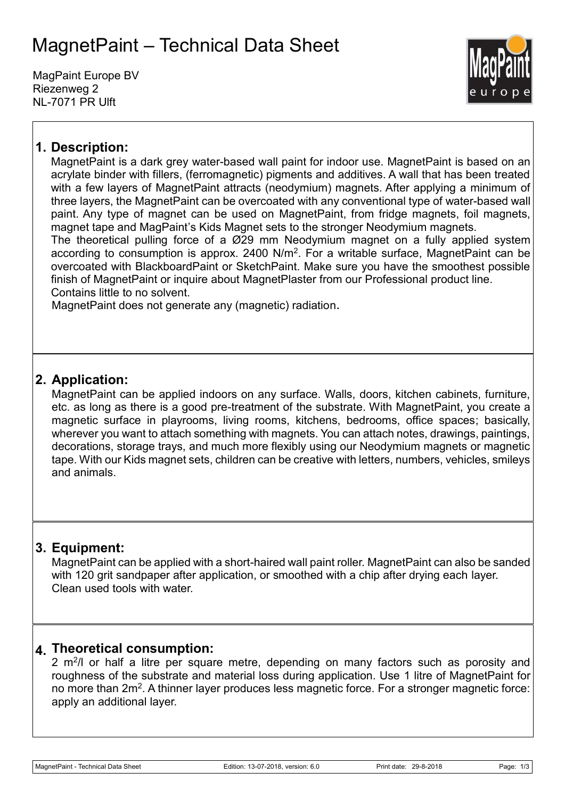# MagnetPaint – Technical Data Sheet

MagPaint Europe BV Riezenweg 2 NL-7071 PR Ulft



### **1. Description:**

MagnetPaint is a dark grey water-based wall paint for indoor use. MagnetPaint is based on an acrylate binder with fillers, (ferromagnetic) pigments and additives. A wall that has been treated with a few layers of MagnetPaint attracts (neodymium) magnets. After applying a minimum of three layers, the MagnetPaint can be overcoated with any conventional type of water-based wall paint. Any type of magnet can be used on MagnetPaint, from fridge magnets, foil magnets, magnet tape and MagPaint's Kids Magnet sets to the stronger Neodymium magnets.

The theoretical pulling force of a Ø29 mm Neodymium magnet on a fully applied system according to consumption is approx. 2400  $N/m^2$ . For a writable surface, MagnetPaint can be overcoated with BlackboardPaint or SketchPaint. Make sure you have the smoothest possible finish of MagnetPaint or inquire about MagnetPlaster from our Professional product line. Contains little to no solvent.

MagnetPaint does not generate any (magnetic) radiation.

### **2. Application:**

MagnetPaint can be applied indoors on any surface. Walls, doors, kitchen cabinets, furniture, etc. as long as there is a good pre-treatment of the substrate. With MagnetPaint, you create a magnetic surface in playrooms, living rooms, kitchens, bedrooms, office spaces; basically, wherever you want to attach something with magnets. You can attach notes, drawings, paintings, decorations, storage trays, and much more flexibly using our Neodymium magnets or magnetic tape. With our Kids magnet sets, children can be creative with letters, numbers, vehicles, smileys and animals.

### **3. Equipment:**

MagnetPaint can be applied with a short-haired wall paint roller. MagnetPaint can also be sanded with 120 grit sandpaper after application, or smoothed with a chip after drying each layer. Clean used tools with water.

#### **4. Theoretical consumption:**

2  $m^2/l$  or half a litre per square metre, depending on many factors such as porosity and roughness of the substrate and material loss during application. Use 1 litre of MagnetPaint for no more than  $2m^2$ . A thinner layer produces less magnetic force. For a stronger magnetic force: apply an additional layer.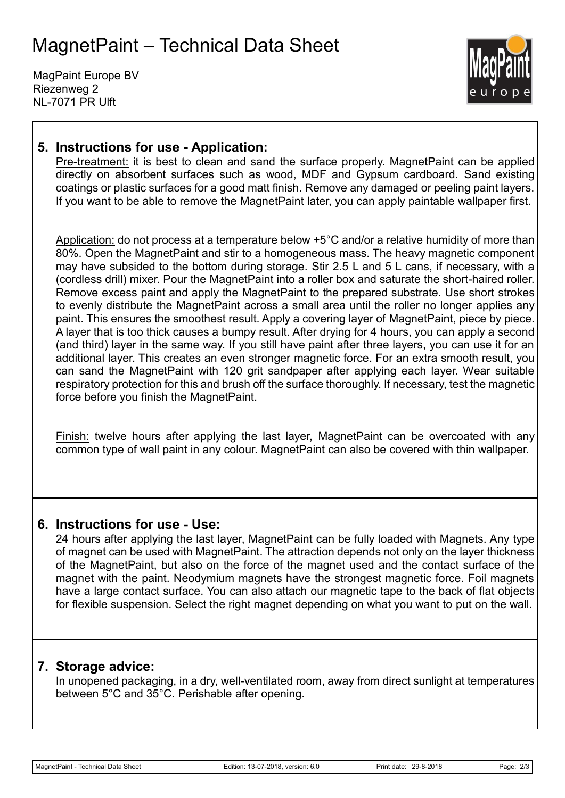# MagnetPaint – Technical Data Sheet

MagPaint Europe BV Riezenweg 2 NL-7071 PR Ulft



#### **5. Instructions for use - Application:**

Pre-treatment: it is best to clean and sand the surface properly. MagnetPaint can be applied directly on absorbent surfaces such as wood, MDF and Gypsum cardboard. Sand existing coatings or plastic surfaces for a good matt finish. Remove any damaged or peeling paint layers. If you want to be able to remove the MagnetPaint later, you can apply paintable wallpaper first.

Application: do not process at a temperature below +5°C and/or a relative humidity of more than 80%. Open the MagnetPaint and stir to a homogeneous mass. The heavy magnetic component may have subsided to the bottom during storage. Stir 2.5 L and 5 L cans, if necessary, with a (cordless drill) mixer. Pour the MagnetPaint into a roller box and saturate the short-haired roller. Remove excess paint and apply the MagnetPaint to the prepared substrate. Use short strokes to evenly distribute the MagnetPaint across a small area until the roller no longer applies any paint. This ensures the smoothest result. Apply a covering layer of MagnetPaint, piece by piece. A layer that is too thick causes a bumpy result. After drying for 4 hours, you can apply a second (and third) layer in the same way. If you still have paint after three layers, you can use it for an additional layer. This creates an even stronger magnetic force. For an extra smooth result, you can sand the MagnetPaint with 120 grit sandpaper after applying each layer. Wear suitable respiratory protection for this and brush off the surface thoroughly. If necessary, test the magnetic force before you finish the MagnetPaint.

Finish: twelve hours after applying the last layer, MagnetPaint can be overcoated with any common type of wall paint in any colour. MagnetPaint can also be covered with thin wallpaper.

#### **6. Instructions for use - Use:**

24 hours after applying the last layer, MagnetPaint can be fully loaded with Magnets. Any type of magnet can be used with MagnetPaint. The attraction depends not only on the layer thickness of the MagnetPaint, but also on the force of the magnet used and the contact surface of the magnet with the paint. Neodymium magnets have the strongest magnetic force. Foil magnets have a large contact surface. You can also attach our magnetic tape to the back of flat objects for flexible suspension. Select the right magnet depending on what you want to put on the wall.

#### **7. Storage advice:**

In unopened packaging, in a dry, well-ventilated room, away from direct sunlight at temperatures between 5°C and 35°C. Perishable after opening.